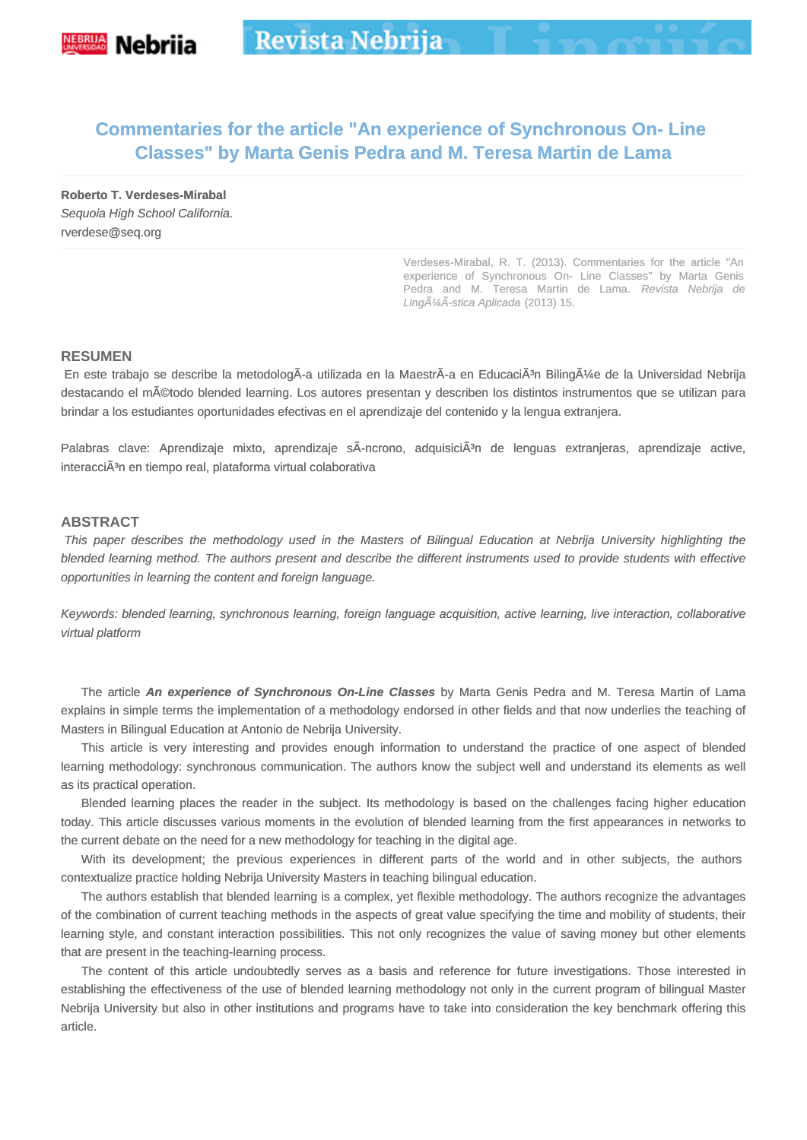# **Commentaries for the article "An experience of Synchronous On- Line Classes" by Marta Genis Pedra and M. Teresa Martin de Lama**

**Roberto T. Verdeses-Mirabal** Sequoia High School California. rverdese@seq.org

> Verdeses-Mirabal, R. T. (2013). Commentaries for the article "An experience of Synchronous On- Line Classes" by Marta Genis Pedra and M. Teresa Martin de Lama. Revista Nebrija de LingüÃ-stica Aplicada (2013) 15.

#### **RESUMEN**

En este trabajo se describe la metodologÃ-a utilizada en la MaestrÃ-a en EducaciÃ3n Bilingüe de la Universidad Nebrija destacando el método blended learning. Los autores presentan y describen los distintos instrumentos que se utilizan para brindar a los estudiantes oportunidades efectivas en el aprendizaje del contenido y la lengua extranjera.

Palabras clave: Aprendizaje mixto, aprendizaje sÃ-ncrono, adquisiciÃ<sup>3</sup>n de lenguas extranjeras, aprendizaje active, interacciÃ<sup>3</sup>n en tiempo real, plataforma virtual colaborativa

#### **ABSTRACT**

 This paper describes the methodology used in the Masters of Bilingual Education at Nebrija University highlighting the blended learning method. The authors present and describe the different instruments used to provide students with effective opportunities in learning the content and foreign language.

Keywords: blended learning, synchronous learning, foreign language acquisition, active learning, live interaction, collaborative virtual platform

The article **An experience of Synchronous On-Line Classes** by Marta Genis Pedra and M. Teresa Martin of Lama explains in simple terms the implementation of a methodology endorsed in other fields and that now underlies the teaching of Masters in Bilingual Education at Antonio de Nebrija University.

This article is very interesting and provides enough information to understand the practice of one aspect of blended learning methodology: synchronous communication. The authors know the subject well and understand its elements as well as its practical operation.

Blended learning places the reader in the subject. Its methodology is based on the challenges facing higher education today. This article discusses various moments in the evolution of blended learning from the first appearances in networks to the current debate on the need for a new methodology for teaching in the digital age.

With its development; the previous experiences in different parts of the world and in other subjects, the authors contextualize practice holding Nebrija University Masters in teaching bilingual education.

The authors establish that blended learning is a complex, yet flexible methodology. The authors recognize the advantages of the combination of current teaching methods in the aspects of great value specifying the time and mobility of students, their learning style, and constant interaction possibilities. This not only recognizes the value of saving money but other elements that are present in the teaching-learning process.

The content of this article undoubtedly serves as a basis and reference for future investigations. Those interested in establishing the effectiveness of the use of blended learning methodology not only in the current program of bilingual Master Nebrija University but also in other institutions and programs have to take into consideration the key benchmark offering this article.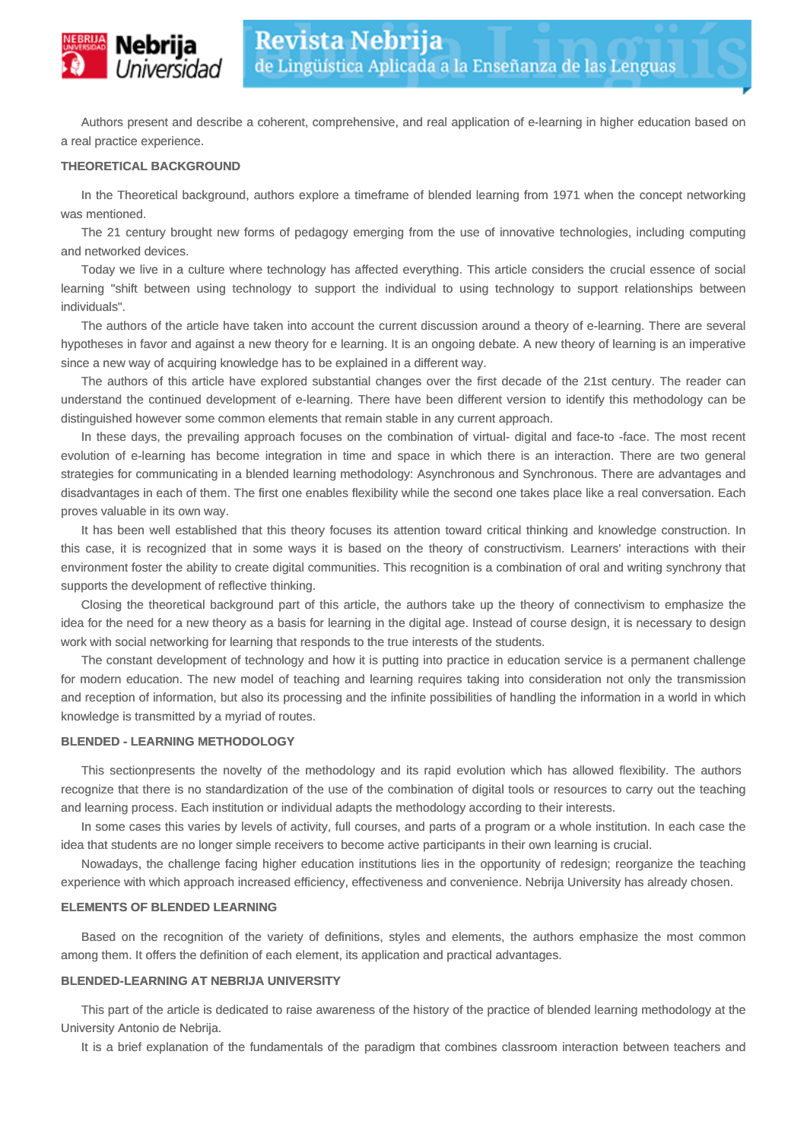

Authors present and describe a coherent, comprehensive, and real application of e-learning in higher education based on a real practice experience.

#### **THEORETICAL BACKGROUND**

In the Theoretical background, authors explore a timeframe of blended learning from 1971 when the concept networking was mentioned.

The 21 century brought new forms of pedagogy emerging from the use of innovative technologies, including computing and networked devices.

Today we live in a culture where technology has affected everything. This article considers the crucial essence of social learning "shift between using technology to support the individual to using technology to support relationships between individuals".

The authors of the article have taken into account the current discussion around a theory of e-learning. There are several hypotheses in favor and against a new theory for e learning. It is an ongoing debate. A new theory of learning is an imperative since a new way of acquiring knowledge has to be explained in a different way.

The authors of this article have explored substantial changes over the first decade of the 21st century. The reader can understand the continued development of e-learning. There have been different version to identify this methodology can be distinguished however some common elements that remain stable in any current approach.

In these days, the prevailing approach focuses on the combination of virtual- digital and face-to -face. The most recent evolution of e-learning has become integration in time and space in which there is an interaction. There are two general strategies for communicating in a blended learning methodology: Asynchronous and Synchronous. There are advantages and disadvantages in each of them. The first one enables flexibility while the second one takes place like a real conversation. Each proves valuable in its own way.

It has been well established that this theory focuses its attention toward critical thinking and knowledge construction. In this case, it is recognized that in some ways it is based on the theory of constructivism. Learners' interactions with their environment foster the ability to create digital communities. This recognition is a combination of oral and writing synchrony that supports the development of reflective thinking.

Closing the theoretical background part of this article, the authors take up the theory of connectivism to emphasize the idea for the need for a new theory as a basis for learning in the digital age. Instead of course design, it is necessary to design work with social networking for learning that responds to the true interests of the students.

The constant development of technology and how it is putting into practice in education service is a permanent challenge for modern education. The new model of teaching and learning requires taking into consideration not only the transmission and reception of information, but also its processing and the infinite possibilities of handling the information in a world in which knowledge is transmitted by a myriad of routes.

#### **BLENDED - LEARNING METHODOLOGY**

This sectionpresents the novelty of the methodology and its rapid evolution which has allowed flexibility. The authors recognize that there is no standardization of the use of the combination of digital tools or resources to carry out the teaching and learning process. Each institution or individual adapts the methodology according to their interests.

In some cases this varies by levels of activity, full courses, and parts of a program or a whole institution. In each case the idea that students are no longer simple receivers to become active participants in their own learning is crucial.

Nowadays, the challenge facing higher education institutions lies in the opportunity of redesign; reorganize the teaching experience with which approach increased efficiency, effectiveness and convenience. Nebrija University has already chosen.

#### **ELEMENTS OF BLENDED LEARNING**

Based on the recognition of the variety of definitions, styles and elements, the authors emphasize the most common among them. It offers the definition of each element, its application and practical advantages.

### **BLENDED-LEARNING AT NEBRIJA UNIVERSITY**

This part of the article is dedicated to raise awareness of the history of the practice of blended learning methodology at the University Antonio de Nebrija.

It is a brief explanation of the fundamentals of the paradigm that combines classroom interaction between teachers and